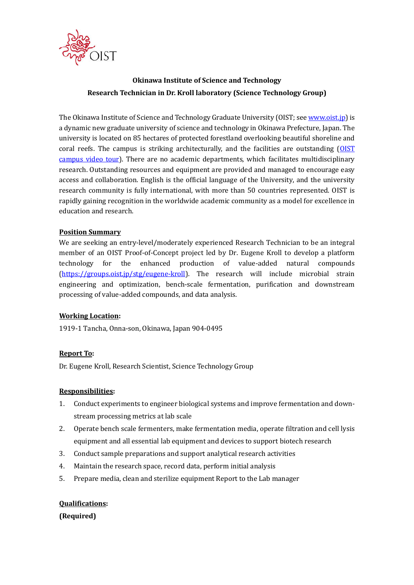

# **Okinawa Institute of Science and Technology Research Technician in Dr. Kroll laboratory (Science Technology Group)**

The Okinawa Institute of Science and Technology Graduate University (OIST; see www.oist.jp) is a dynamic new graduate university of science and technology in Okinawa Prefecture, Japan. The university is located on 85 hectares of protected forestland overlooking beautiful shoreline and coral reefs. The campus is striking architecturally, and the facilities are outstanding (OIST campus video tour). There are no academic departments, which facilitates multidisciplinary research. Outstanding resources and equipment are provided and managed to encourage easy access and collaboration. English is the official language of the University, and the university research community is fully international, with more than 50 countries represented. OIST is rapidly gaining recognition in the worldwide academic community as a model for excellence in education and research.

## **Position Summary**

We are seeking an entry-level/moderately experienced Research Technician to be an integral member of an OIST Proof-of-Concept project led by Dr. Eugene Kroll to develop a platform technology for the enhanced production of value-added natural compounds (https://groups.oist.jp/stg/eugene-kroll). The research will include microbial strain engineering and optimization, bench-scale fermentation, purification and downstream processing of value-added compounds, and data analysis.

## **Working Location:**

1919-1 Tancha, Onna-son, Okinawa, Japan 904-0495

## **Report To:**

Dr. Eugene Kroll, Research Scientist, Science Technology Group

## **Responsibilities:**

- 1. Conduct experiments to engineer biological systems and improve fermentation and downstream processing metrics at lab scale
- 2. Operate bench scale fermenters, make fermentation media, operate filtration and cell lysis equipment and all essential lab equipment and devices to support biotech research
- 3. Conduct sample preparations and support analytical research activities
- 4. Maintain the research space, record data, perform initial analysis
- 5. Prepare media, clean and sterilize equipment Report to the Lab manager

## **Qualifications:**

**(Required)**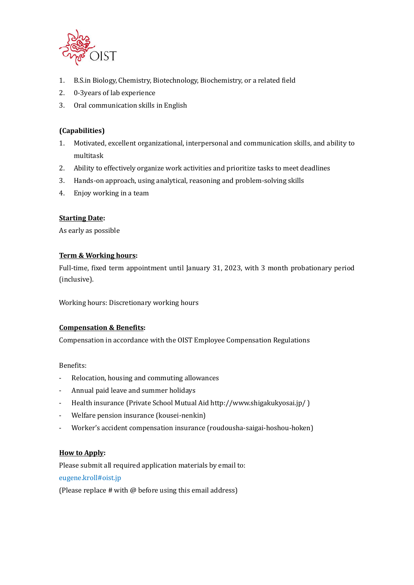

- 1. B.S.in Biology, Chemistry, Biotechnology, Biochemistry, or a related field
- 2. 0-3years of lab experience
- 3. Oral communication skills in English

# **(Capabilities)**

- 1. Motivated, excellent organizational, interpersonal and communication skills, and ability to multitask
- 2. Ability to effectively organize work activities and prioritize tasks to meet deadlines
- 3. Hands-on approach, using analytical, reasoning and problem-solving skills
- 4. Enjoy working in a team

## **Starting Date:**

As early as possible

## **Term & Working hours:**

Full-time, fixed term appointment until January 31, 2023, with 3 month probationary period (inclusive).

Working hours: Discretionary working hours

## **Compensation & Benefits:**

Compensation in accordance with the OIST Employee Compensation Regulations

Benefits:

- Relocation, housing and commuting allowances
- Annual paid leave and summer holidays
- Health insurance (Private School Mutual Aid http://www.shigakukyosai.jp/ )
- Welfare pension insurance (kousei-nenkin)
- Worker's accident compensation insurance (roudousha-saigai-hoshou-hoken)

## **How to Apply:**

Please submit all required application materials by email to:

## eugene.kroll#oist.jp

(Please replace  $#$  with  $@$  before using this email address)